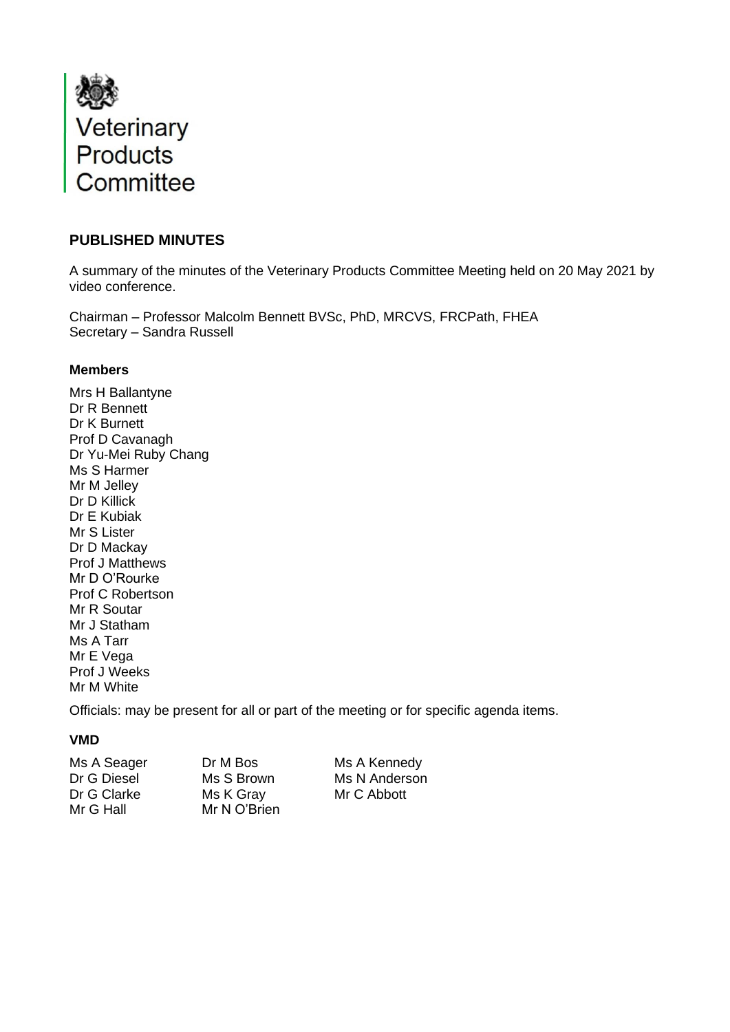

# **PUBLISHED MINUTES**

A summary of the minutes of the Veterinary Products Committee Meeting held on 20 May 2021 by video conference.

Chairman – Professor Malcolm Bennett BVSc, PhD, MRCVS, FRCPath, FHEA Secretary – Sandra Russell

#### **Members**

Mrs H Ballantyne Dr R Bennett Dr K Burnett Prof D Cavanagh Dr Yu-Mei Ruby Chang Ms S Harmer Mr M Jelley Dr D Killick Dr E Kubiak Mr S Lister Dr D Mackay Prof J Matthews Mr D O'Rourke Prof C Robertson Mr R Soutar Mr J Statham Ms A Tarr Mr E Vega Prof J Weeks Mr M White

Officials: may be present for all or part of the meeting or for specific agenda items.

## **VMD**

Dr G Clarke Ms K Gray Mr C Abbott Mr G Hall Mr N O'Brien

Ms A Seager Dr M Bos Ms A Kennedy Dr G Diesel Ms S Brown Ms N Anderson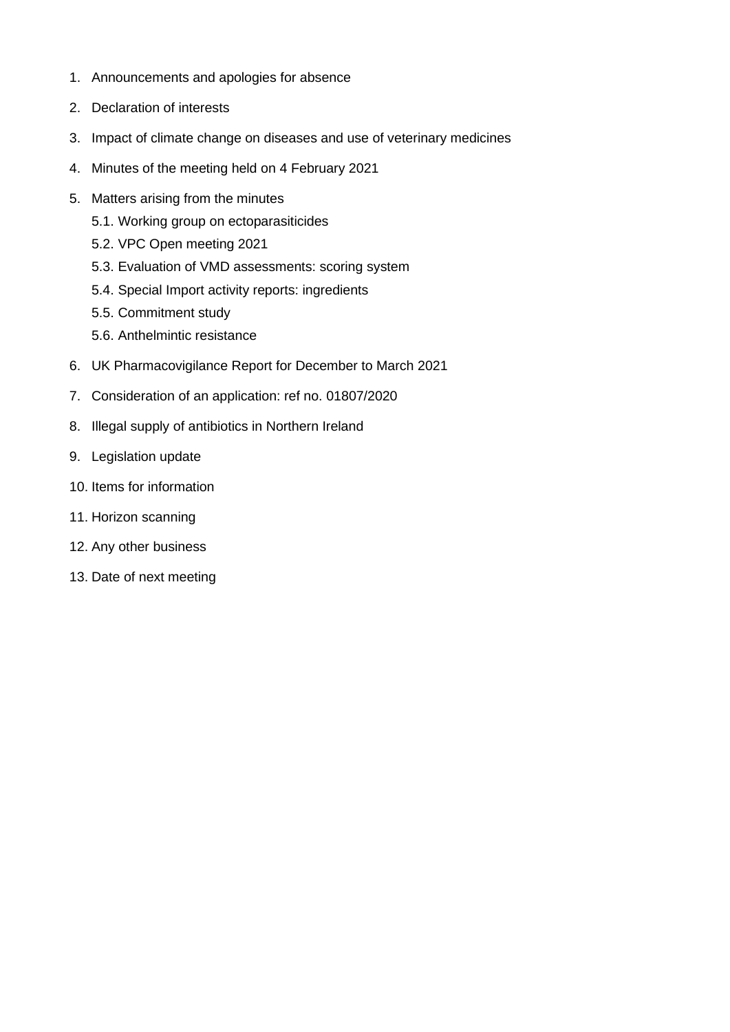- 1. Announcements and apologies for absence
- 2. Declaration of interests
- 3. Impact of climate change on diseases and use of veterinary medicines
- 4. Minutes of the meeting held on 4 February 2021
- 5. Matters arising from the minutes
	- 5.1. Working group on ectoparasiticides
	- 5.2. VPC Open meeting 2021
	- 5.3. Evaluation of VMD assessments: scoring system
	- 5.4. Special Import activity reports: ingredients
	- 5.5. Commitment study
	- 5.6. Anthelmintic resistance
- 6. UK Pharmacovigilance Report for December to March 2021
- 7. Consideration of an application: ref no. 01807/2020
- 8. Illegal supply of antibiotics in Northern Ireland
- 9. Legislation update
- 10. Items for information
- 11. Horizon scanning
- 12. Any other business
- 13. Date of next meeting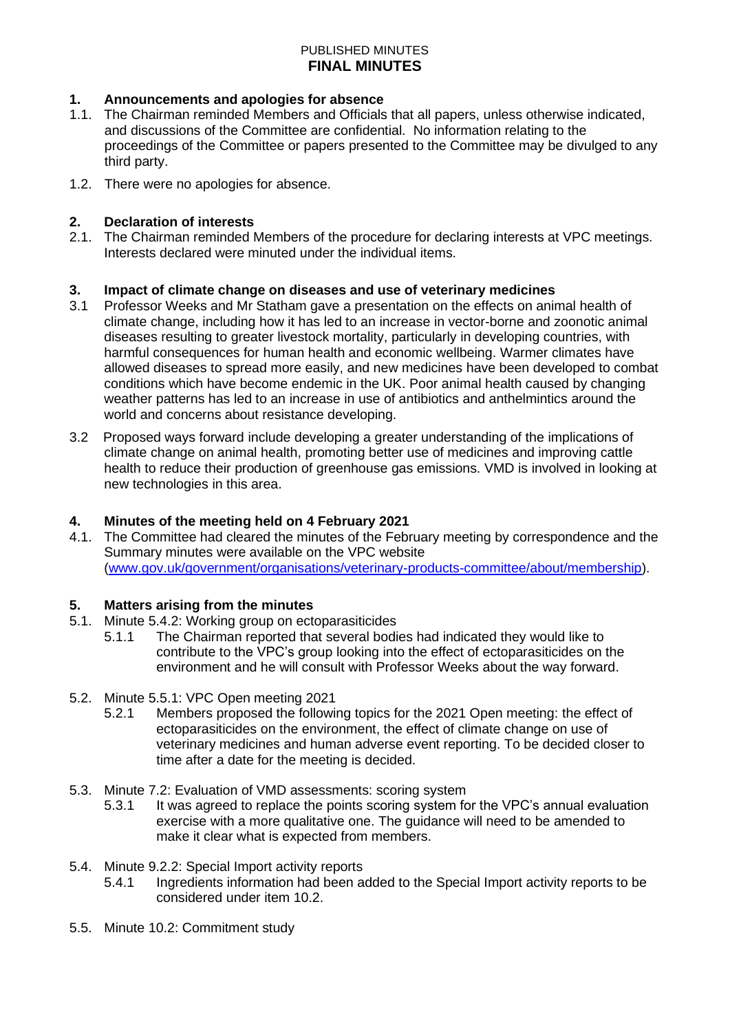## **1. Announcements and apologies for absence**

- 1.1. The Chairman reminded Members and Officials that all papers, unless otherwise indicated, and discussions of the Committee are confidential. No information relating to the proceedings of the Committee or papers presented to the Committee may be divulged to any third party.
- 1.2. There were no apologies for absence.

### **2. Declaration of interests**

2.1. The Chairman reminded Members of the procedure for declaring interests at VPC meetings. Interests declared were minuted under the individual items.

## **3. Impact of climate change on diseases and use of veterinary medicines**

- 3.1 Professor Weeks and Mr Statham gave a presentation on the effects on animal health of climate change, including how it has led to an increase in vector-borne and zoonotic animal diseases resulting to greater livestock mortality, particularly in developing countries, with harmful consequences for human health and economic wellbeing. Warmer climates have allowed diseases to spread more easily, and new medicines have been developed to combat conditions which have become endemic in the UK. Poor animal health caused by changing weather patterns has led to an increase in use of antibiotics and anthelmintics around the world and concerns about resistance developing.
- 3.2 Proposed ways forward include developing a greater understanding of the implications of climate change on animal health, promoting better use of medicines and improving cattle health to reduce their production of greenhouse gas emissions. VMD is involved in looking at new technologies in this area.

# **4. Minutes of the meeting held on 4 February 2021**

The Committee had cleared the minutes of the February meeting by correspondence and the Summary minutes were available on the VPC website [\(www.gov.uk/government/organisations/veterinary-products-committee/about/membership\)](http://www.gov.uk/government/organisations/veterinary-products-committee/about/membership).

#### **5. Matters arising from the minutes**

- 5.1. Minute 5.4.2: Working group on ectoparasiticides
	- 5.1.1 The Chairman reported that several bodies had indicated they would like to contribute to the VPC's group looking into the effect of ectoparasiticides on the environment and he will consult with Professor Weeks about the way forward.
- 5.2. Minute 5.5.1: VPC Open meeting 2021
	- 5.2.1 Members proposed the following topics for the 2021 Open meeting: the effect of ectoparasiticides on the environment, the effect of climate change on use of veterinary medicines and human adverse event reporting. To be decided closer to time after a date for the meeting is decided.
- 5.3. Minute 7.2: Evaluation of VMD assessments: scoring system
	- 5.3.1 It was agreed to replace the points scoring system for the VPC's annual evaluation exercise with a more qualitative one. The guidance will need to be amended to make it clear what is expected from members.
- 5.4. Minute 9.2.2: Special Import activity reports
	- 5.4.1 Ingredients information had been added to the Special Import activity reports to be considered under item 10.2.
- 5.5. Minute 10.2: Commitment study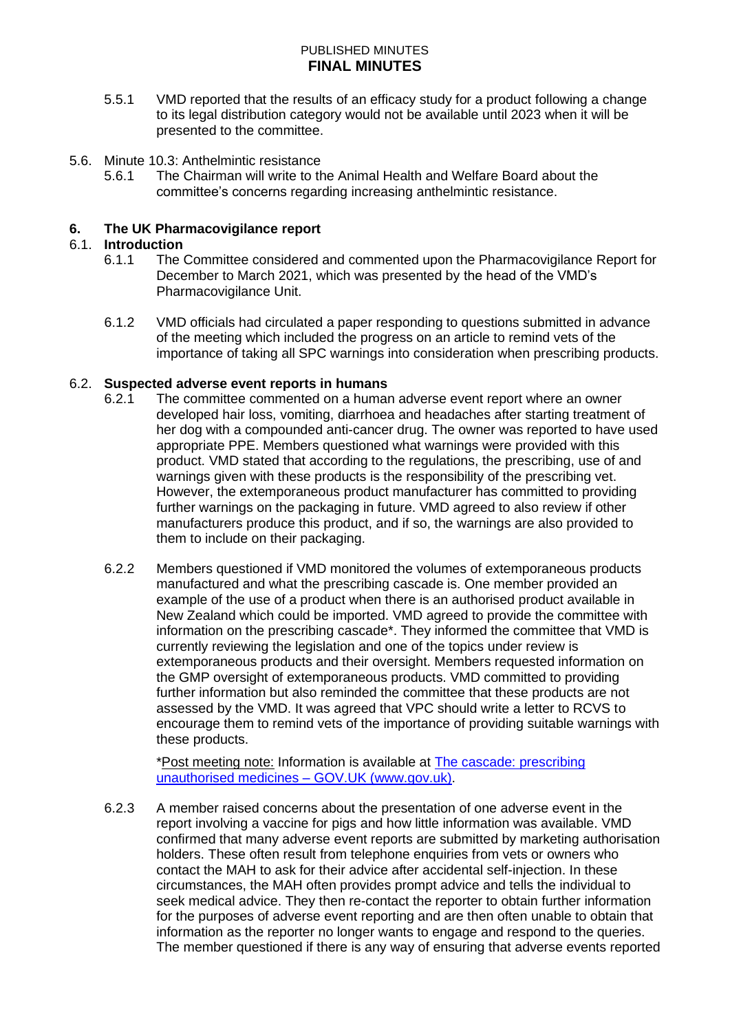- 5.5.1 VMD reported that the results of an efficacy study for a product following a change to its legal distribution category would not be available until 2023 when it will be presented to the committee.
- 5.6. Minute 10.3: Anthelmintic resistance
	- 5.6.1 The Chairman will write to the Animal Health and Welfare Board about the committee's concerns regarding increasing anthelmintic resistance.

### **6. The UK Pharmacovigilance report**

#### 6.1. **Introduction**

- 6.1.1 The Committee considered and commented upon the Pharmacovigilance Report for December to March 2021, which was presented by the head of the VMD's Pharmacovigilance Unit.
- 6.1.2 VMD officials had circulated a paper responding to questions submitted in advance of the meeting which included the progress on an article to remind vets of the importance of taking all SPC warnings into consideration when prescribing products.

#### 6.2. **Suspected adverse event reports in humans**

- 6.2.1 The committee commented on a human adverse event report where an owner developed hair loss, vomiting, diarrhoea and headaches after starting treatment of her dog with a compounded anti-cancer drug. The owner was reported to have used appropriate PPE. Members questioned what warnings were provided with this product. VMD stated that according to the regulations, the prescribing, use of and warnings given with these products is the responsibility of the prescribing vet. However, the extemporaneous product manufacturer has committed to providing further warnings on the packaging in future. VMD agreed to also review if other manufacturers produce this product, and if so, the warnings are also provided to them to include on their packaging.
- 6.2.2 Members questioned if VMD monitored the volumes of extemporaneous products manufactured and what the prescribing cascade is. One member provided an example of the use of a product when there is an authorised product available in New Zealand which could be imported. VMD agreed to provide the committee with information on the prescribing cascade\*. They informed the committee that VMD is currently reviewing the legislation and one of the topics under review is extemporaneous products and their oversight. Members requested information on the GMP oversight of extemporaneous products. VMD committed to providing further information but also reminded the committee that these products are not assessed by the VMD. It was agreed that VPC should write a letter to RCVS to encourage them to remind vets of the importance of providing suitable warnings with these products.

\*Post meeting note: Information is available at [The cascade: prescribing](https://www.gov.uk/guidance/the-cascade-prescribing-unauthorised-medicines)  [unauthorised medicines –](https://www.gov.uk/guidance/the-cascade-prescribing-unauthorised-medicines) GOV.UK (www.gov.uk).

6.2.3 A member raised concerns about the presentation of one adverse event in the report involving a vaccine for pigs and how little information was available. VMD confirmed that many adverse event reports are submitted by marketing authorisation holders. These often result from telephone enquiries from vets or owners who contact the MAH to ask for their advice after accidental self-injection. In these circumstances, the MAH often provides prompt advice and tells the individual to seek medical advice. They then re-contact the reporter to obtain further information for the purposes of adverse event reporting and are then often unable to obtain that information as the reporter no longer wants to engage and respond to the queries. The member questioned if there is any way of ensuring that adverse events reported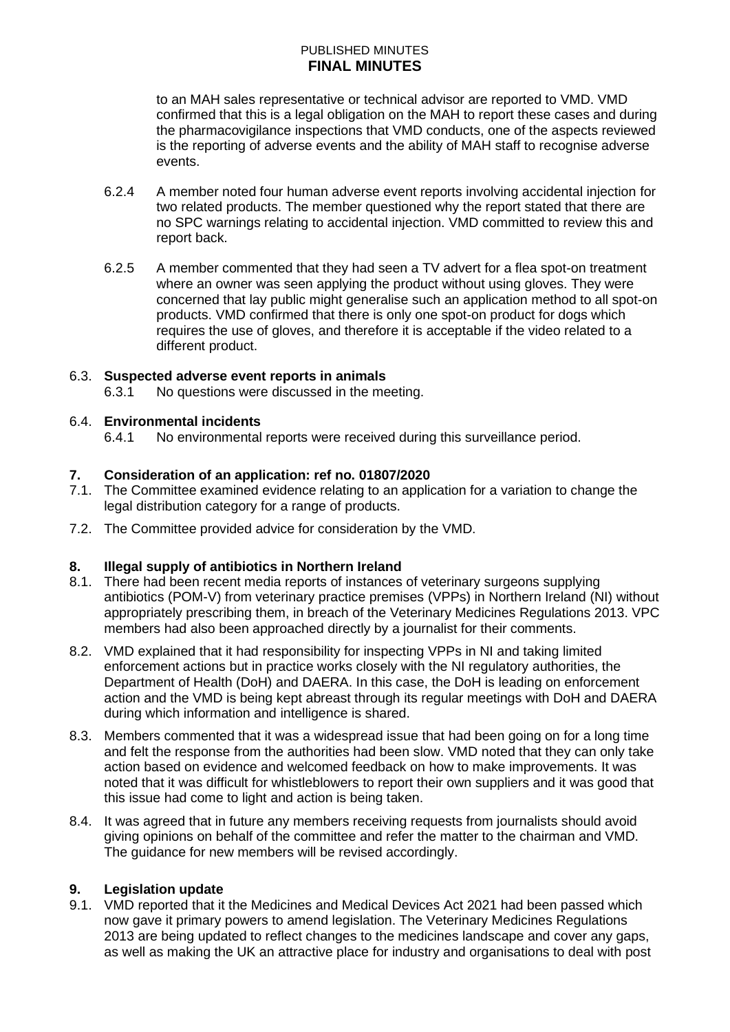to an MAH sales representative or technical advisor are reported to VMD. VMD confirmed that this is a legal obligation on the MAH to report these cases and during the pharmacovigilance inspections that VMD conducts, one of the aspects reviewed is the reporting of adverse events and the ability of MAH staff to recognise adverse events.

- 6.2.4 A member noted four human adverse event reports involving accidental injection for two related products. The member questioned why the report stated that there are no SPC warnings relating to accidental injection. VMD committed to review this and report back.
- 6.2.5 A member commented that they had seen a TV advert for a flea spot-on treatment where an owner was seen applying the product without using gloves. They were concerned that lay public might generalise such an application method to all spot-on products. VMD confirmed that there is only one spot-on product for dogs which requires the use of gloves, and therefore it is acceptable if the video related to a different product.

## 6.3. **Suspected adverse event reports in animals**

6.3.1 No questions were discussed in the meeting.

## 6.4. **Environmental incidents**

6.4.1 No environmental reports were received during this surveillance period.

## **7. Consideration of an application: ref no. 01807/2020**

- 7.1. The Committee examined evidence relating to an application for a variation to change the legal distribution category for a range of products.
- 7.2. The Committee provided advice for consideration by the VMD.

#### **8. Illegal supply of antibiotics in Northern Ireland**

- 8.1. There had been recent media reports of instances of veterinary surgeons supplying antibiotics (POM-V) from veterinary practice premises (VPPs) in Northern Ireland (NI) without appropriately prescribing them, in breach of the Veterinary Medicines Regulations 2013. VPC members had also been approached directly by a journalist for their comments.
- 8.2. VMD explained that it had responsibility for inspecting VPPs in NI and taking limited enforcement actions but in practice works closely with the NI regulatory authorities, the Department of Health (DoH) and DAERA. In this case, the DoH is leading on enforcement action and the VMD is being kept abreast through its regular meetings with DoH and DAERA during which information and intelligence is shared.
- 8.3. Members commented that it was a widespread issue that had been going on for a long time and felt the response from the authorities had been slow. VMD noted that they can only take action based on evidence and welcomed feedback on how to make improvements. It was noted that it was difficult for whistleblowers to report their own suppliers and it was good that this issue had come to light and action is being taken.
- 8.4. It was agreed that in future any members receiving requests from journalists should avoid giving opinions on behalf of the committee and refer the matter to the chairman and VMD. The guidance for new members will be revised accordingly.

#### **9. Legislation update**

9.1. VMD reported that it the Medicines and Medical Devices Act 2021 had been passed which now gave it primary powers to amend legislation. The Veterinary Medicines Regulations 2013 are being updated to reflect changes to the medicines landscape and cover any gaps, as well as making the UK an attractive place for industry and organisations to deal with post